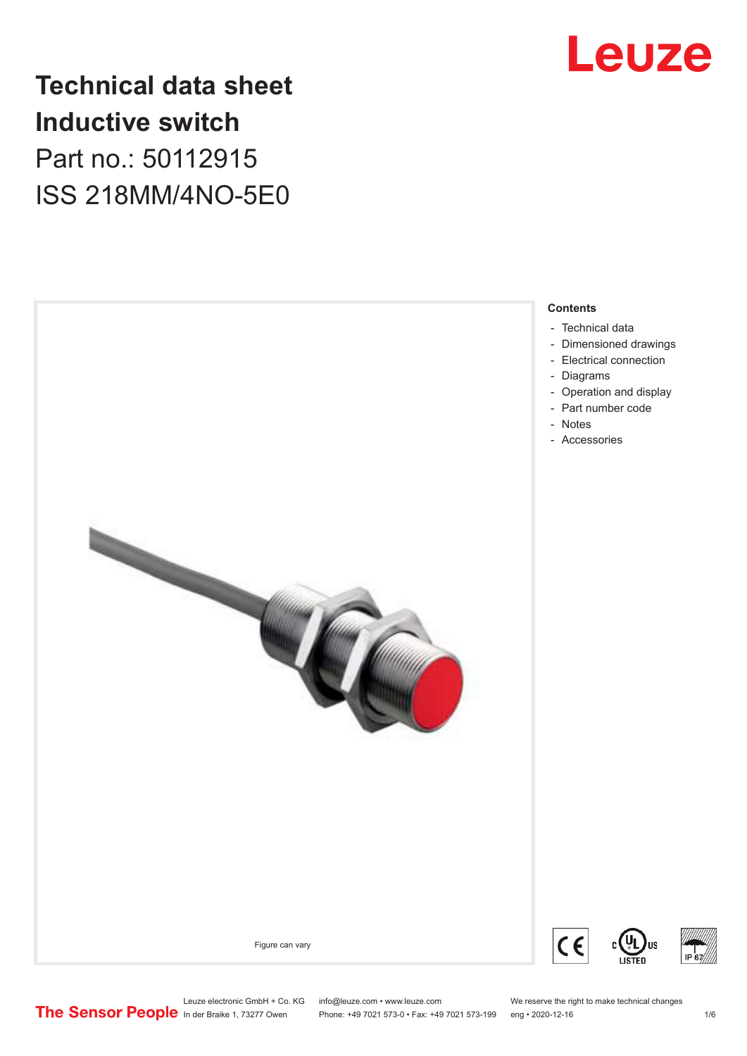

# **Technical data sheet Inductive switch** Part no.: 50112915 ISS 218MM/4NO-5E0

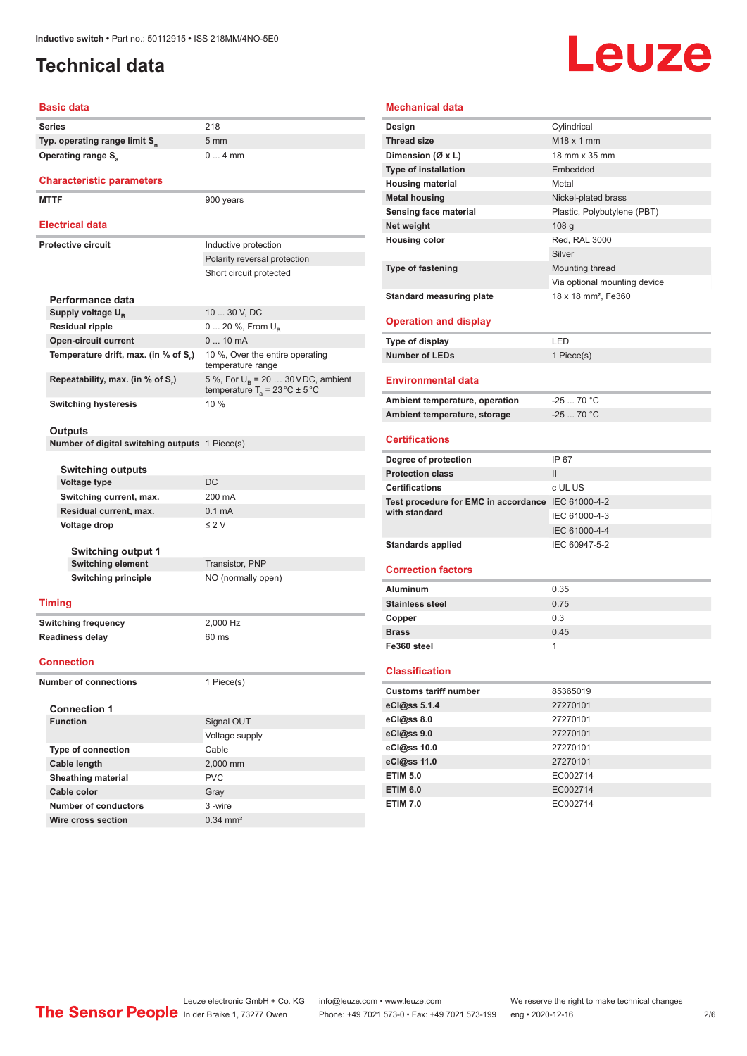# <span id="page-1-0"></span>**Technical data**

# Leuze

#### **Basic data**

|                              | Series                                                | 218                                                                                             |  |
|------------------------------|-------------------------------------------------------|-------------------------------------------------------------------------------------------------|--|
|                              | Typ. operating range limit S <sub>n</sub>             | $5 \text{ mm}$                                                                                  |  |
|                              | <b>Operating range S</b> <sub>a</sub>                 | $04$ mm                                                                                         |  |
|                              |                                                       |                                                                                                 |  |
|                              | <b>Characteristic parameters</b>                      |                                                                                                 |  |
|                              | <b>MTTF</b>                                           | 900 years                                                                                       |  |
|                              |                                                       |                                                                                                 |  |
|                              | <b>Electrical data</b>                                |                                                                                                 |  |
| <b>Protective circuit</b>    |                                                       | Inductive protection                                                                            |  |
|                              |                                                       | Polarity reversal protection                                                                    |  |
|                              |                                                       | Short circuit protected                                                                         |  |
|                              |                                                       |                                                                                                 |  |
|                              | Performance data                                      |                                                                                                 |  |
|                              | Supply voltage U <sub>B</sub>                         | 10  30 V, DC                                                                                    |  |
|                              | <b>Residual ripple</b>                                | 0  20 %, From U <sub>B</sub>                                                                    |  |
|                              | <b>Open-circuit current</b>                           | 0  10 mA                                                                                        |  |
|                              | Temperature drift, max. (in % of S.)                  | 10 %, Over the entire operating<br>temperature range                                            |  |
|                              | Repeatability, max. (in % of S,)                      | 5 %, For $U_{\rm R}$ = 20  30 V DC, ambient<br>temperature $T_a = 23 \degree C \pm 5 \degree C$ |  |
|                              | <b>Switching hysteresis</b>                           | $10\%$                                                                                          |  |
|                              |                                                       |                                                                                                 |  |
|                              | Outputs                                               |                                                                                                 |  |
|                              | <b>Number of digital switching outputs</b> 1 Piece(s) |                                                                                                 |  |
|                              |                                                       |                                                                                                 |  |
|                              | Switching outputs                                     |                                                                                                 |  |
|                              | <b>Voltage type</b>                                   | DC                                                                                              |  |
|                              | Switching current, max.                               | 200 mA                                                                                          |  |
|                              | Residual current, max.                                | 0.1 <sub>m</sub> A                                                                              |  |
|                              | Voltage drop                                          | $\leq$ 2 V                                                                                      |  |
|                              |                                                       |                                                                                                 |  |
| <b>Switching output 1</b>    |                                                       |                                                                                                 |  |
|                              | <b>Switching element</b>                              | Transistor, PNP                                                                                 |  |
|                              | <b>Switching principle</b>                            | NO (normally open)                                                                              |  |
|                              | <b>Timing</b>                                         |                                                                                                 |  |
|                              | <b>Switching frequency</b>                            | 2,000 Hz                                                                                        |  |
|                              | <b>Readiness delay</b>                                | 60 ms                                                                                           |  |
|                              |                                                       |                                                                                                 |  |
| <b>Connection</b>            |                                                       |                                                                                                 |  |
| <b>Number of connections</b> |                                                       | 1 Piece(s)                                                                                      |  |
|                              |                                                       |                                                                                                 |  |
|                              | <b>Connection 1</b>                                   |                                                                                                 |  |
|                              | <b>Function</b>                                       | Signal OUT                                                                                      |  |
|                              |                                                       | Voltage supply                                                                                  |  |
|                              | <b>Type of connection</b>                             | Cable                                                                                           |  |
|                              | Cable length                                          | 2,000 mm                                                                                        |  |
|                              | <b>Sheathing material</b>                             | <b>PVC</b>                                                                                      |  |
|                              | Cable color                                           | Gray                                                                                            |  |
|                              | <b>Number of conductors</b>                           | 3 -wire                                                                                         |  |

#### **Mechanical data**

| Design                                             | Cylindrical                     |
|----------------------------------------------------|---------------------------------|
| <b>Thread size</b>                                 | M <sub>18</sub> x 1 mm          |
| Dimension (Ø x L)                                  | 18 mm x 35 mm                   |
| <b>Type of installation</b>                        | Embedded                        |
| <b>Housing material</b>                            | Metal                           |
| <b>Metal housing</b>                               | Nickel-plated brass             |
| <b>Sensing face material</b>                       | Plastic, Polybutylene (PBT)     |
| Net weight                                         | 108 <sub>g</sub>                |
| <b>Housing color</b>                               | Red, RAL 3000                   |
|                                                    | Silver                          |
| <b>Type of fastening</b>                           | Mounting thread                 |
|                                                    | Via optional mounting device    |
| <b>Standard measuring plate</b>                    | 18 x 18 mm <sup>2</sup> , Fe360 |
|                                                    |                                 |
| <b>Operation and display</b>                       |                                 |
| <b>Type of display</b>                             | LED                             |
| <b>Number of LEDs</b>                              | 1 Piece(s)                      |
|                                                    |                                 |
| <b>Environmental data</b>                          |                                 |
| Ambient temperature, operation                     | $-2570 °C$                      |
| Ambient temperature, storage                       | $-2570 °C$                      |
| <b>Certifications</b>                              |                                 |
| Degree of protection                               | IP 67                           |
| <b>Protection class</b>                            | $\mathbf{II}$                   |
| <b>Certifications</b>                              | c UL US                         |
| Test procedure for EMC in accordance IEC 61000-4-2 |                                 |
| with standard                                      | IEC 61000-4-3                   |
|                                                    |                                 |
|                                                    | IEC 61000-4-4                   |
|                                                    | IEC 60947-5-2                   |
| <b>Standards applied</b>                           |                                 |
| <b>Correction factors</b>                          |                                 |
| Aluminum                                           | 0.35                            |
| <b>Stainless steel</b>                             | 0.75                            |
| Copper                                             | 0.3                             |
| <b>Brass</b>                                       | 0.45                            |
| Fe360 steel                                        | 1                               |
|                                                    |                                 |
| <b>Classification</b>                              |                                 |
| <b>Customs tariff number</b>                       | 85365019                        |
| eCl@ss 5.1.4                                       | 27270101                        |
| eCl@ss 8.0                                         | 27270101                        |
| eCl@ss 9.0                                         | 27270101                        |
| eCl@ss 10.0                                        | 27270101                        |
| eCl@ss 11.0                                        | 27270101                        |
| <b>ETIM 5.0</b>                                    | EC002714                        |

**ETIM 7.0** EC002714

**Wire cross section** 0.34 mm<sup>2</sup>

Leuze electronic GmbH + Co. KG info@leuze.com • www.leuze.com We reserve the right to make technical changes ln der Braike 1, 73277 Owen Phone: +49 7021 573-0 • Fax: +49 7021 573-199 eng • 2020-12-16 2/6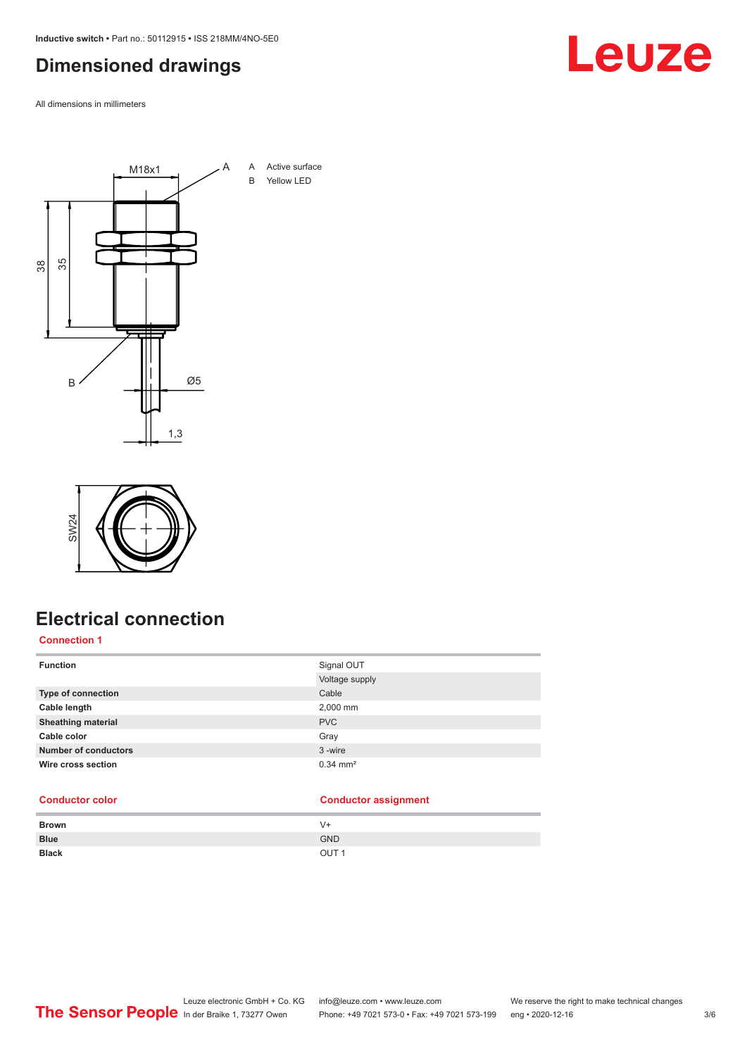<span id="page-2-0"></span>**Inductive switch •** Part no.: 50112915 **•** ISS 218MM/4NO-5E0

## **Dimensioned drawings**

All dimensions in millimeters





# **Electrical connection**

#### **Connection 1**

| <b>Function</b>             | Signal OUT            |
|-----------------------------|-----------------------|
|                             | Voltage supply        |
| <b>Type of connection</b>   | Cable                 |
| Cable length                | 2,000 mm              |
| <b>Sheathing material</b>   | <b>PVC</b>            |
| Cable color                 | Gray                  |
| <b>Number of conductors</b> | 3-wire                |
| Wire cross section          | $0.34 \, \text{mm}^2$ |

#### **Conductor color Conductor assignment**

| <b>Brown</b> | V+               |
|--------------|------------------|
| <b>Blue</b>  | <b>GND</b>       |
| <b>Black</b> | OUT <sub>1</sub> |

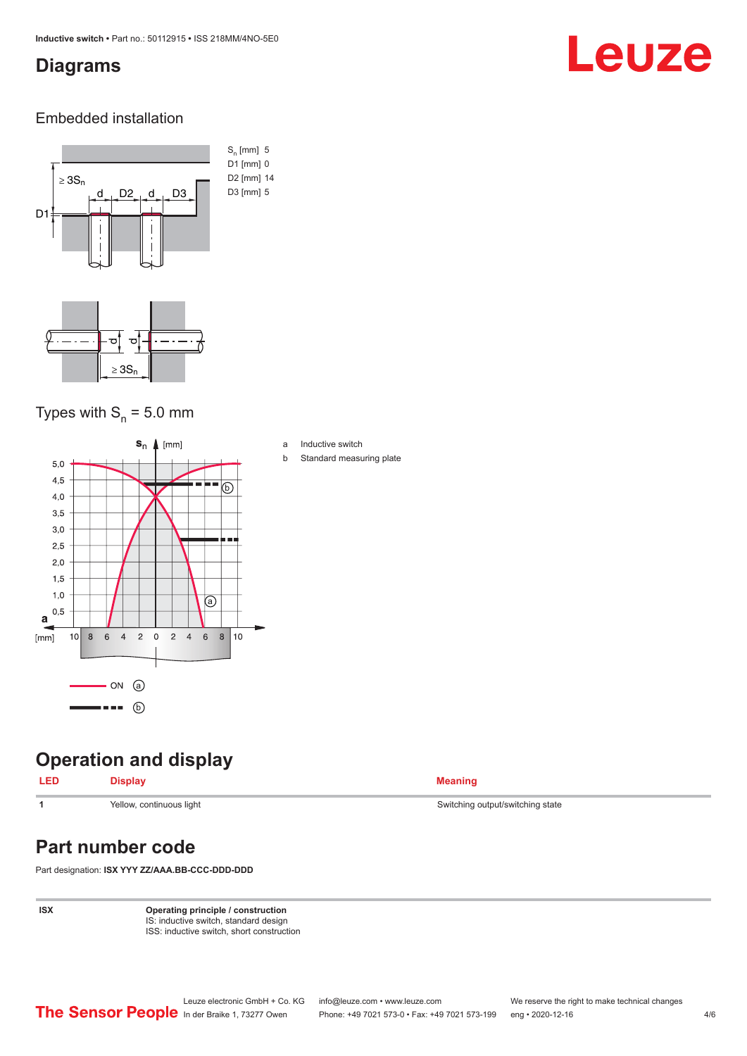### <span id="page-3-0"></span>**Diagrams**

# Leuze

#### Embedded installation



### Types with  $S_{n}$  = 5.0 mm



### **Operation and display**

| Yellow, continuous light |  |
|--------------------------|--|

## **Part number code**

Part designation: **ISX YYY ZZ/AAA.BB-CCC-DDD-DDD**

**ISX Operating principle / construction** IS: inductive switch, standard design ISS: inductive switch, short construction

| a | Inductive switch |  |
|---|------------------|--|
|   |                  |  |

b Standard measuring plate

Switching output/switching state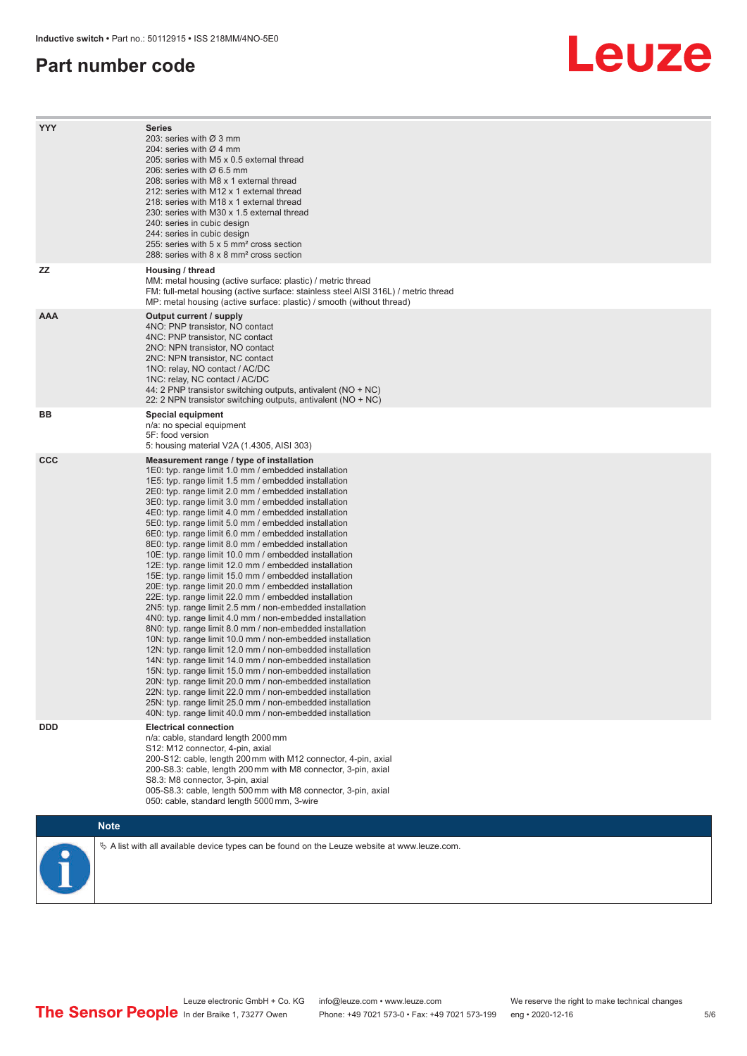#### **Part number code**

# Leuze

| <b>YYY</b> | <b>Series</b><br>203: series with Ø 3 mm<br>204: series with Ø 4 mm<br>205: series with M5 x 0.5 external thread<br>206: series with Ø 6.5 mm<br>208: series with M8 x 1 external thread<br>212: series with M12 x 1 external thread<br>218: series with M18 x 1 external thread<br>230: series with M30 x 1.5 external thread<br>240: series in cubic design<br>244: series in cubic design<br>255: series with 5 x 5 mm <sup>2</sup> cross section<br>288: series with 8 x 8 mm <sup>2</sup> cross section                                                                                                                                                                                                                                                                                                                                                                                                                                                                                                                                                                                                                                                                                                                                                                                                                                                                                                                                                                                      |
|------------|---------------------------------------------------------------------------------------------------------------------------------------------------------------------------------------------------------------------------------------------------------------------------------------------------------------------------------------------------------------------------------------------------------------------------------------------------------------------------------------------------------------------------------------------------------------------------------------------------------------------------------------------------------------------------------------------------------------------------------------------------------------------------------------------------------------------------------------------------------------------------------------------------------------------------------------------------------------------------------------------------------------------------------------------------------------------------------------------------------------------------------------------------------------------------------------------------------------------------------------------------------------------------------------------------------------------------------------------------------------------------------------------------------------------------------------------------------------------------------------------------|
| ΖZ         | Housing / thread<br>MM: metal housing (active surface: plastic) / metric thread<br>FM: full-metal housing (active surface: stainless steel AISI 316L) / metric thread<br>MP: metal housing (active surface: plastic) / smooth (without thread)                                                                                                                                                                                                                                                                                                                                                                                                                                                                                                                                                                                                                                                                                                                                                                                                                                                                                                                                                                                                                                                                                                                                                                                                                                                    |
| <b>AAA</b> | Output current / supply<br>4NO: PNP transistor, NO contact<br>4NC: PNP transistor, NC contact<br>2NO: NPN transistor, NO contact<br>2NC: NPN transistor, NC contact<br>1NO: relay, NO contact / AC/DC<br>1NC: relay, NC contact / AC/DC<br>44: 2 PNP transistor switching outputs, antivalent (NO + NC)<br>22: 2 NPN transistor switching outputs, antivalent (NO + NC)                                                                                                                                                                                                                                                                                                                                                                                                                                                                                                                                                                                                                                                                                                                                                                                                                                                                                                                                                                                                                                                                                                                           |
| BВ         | Special equipment<br>n/a: no special equipment<br>5F: food version<br>5: housing material V2A (1.4305, AISI 303)                                                                                                                                                                                                                                                                                                                                                                                                                                                                                                                                                                                                                                                                                                                                                                                                                                                                                                                                                                                                                                                                                                                                                                                                                                                                                                                                                                                  |
| CCC        | Measurement range / type of installation<br>1E0: typ. range limit 1.0 mm / embedded installation<br>1E5: typ. range limit 1.5 mm / embedded installation<br>2E0: typ. range limit 2.0 mm / embedded installation<br>3E0: typ. range limit 3.0 mm / embedded installation<br>4E0: typ. range limit 4.0 mm / embedded installation<br>5E0: typ. range limit 5.0 mm / embedded installation<br>6E0: typ. range limit 6.0 mm / embedded installation<br>8E0: typ. range limit 8.0 mm / embedded installation<br>10E: typ. range limit 10.0 mm / embedded installation<br>12E: typ. range limit 12.0 mm / embedded installation<br>15E: typ. range limit 15.0 mm / embedded installation<br>20E: typ. range limit 20.0 mm / embedded installation<br>22E: typ. range limit 22.0 mm / embedded installation<br>2N5: typ. range limit 2.5 mm / non-embedded installation<br>4N0: typ. range limit 4.0 mm / non-embedded installation<br>8N0: typ. range limit 8.0 mm / non-embedded installation<br>10N: typ. range limit 10.0 mm / non-embedded installation<br>12N: typ. range limit 12.0 mm / non-embedded installation<br>14N: typ. range limit 14.0 mm / non-embedded installation<br>15N: typ. range limit 15.0 mm / non-embedded installation<br>20N: typ. range limit 20.0 mm / non-embedded installation<br>22N: typ. range limit 22.0 mm / non-embedded installation<br>25N: typ. range limit 25.0 mm / non-embedded installation<br>40N: typ. range limit 40.0 mm / non-embedded installation |
| <b>DDD</b> | <b>Electrical connection</b><br>n/a: cable, standard length 2000 mm<br>S12: M12 connector, 4-pin, axial<br>200-S12: cable, length 200 mm with M12 connector, 4-pin, axial<br>200-S8.3: cable, length 200 mm with M8 connector, 3-pin, axial<br>S8.3: M8 connector, 3-pin, axial<br>005-S8.3: cable, length 500 mm with M8 connector, 3-pin, axial<br>050: cable, standard length 5000 mm, 3-wire                                                                                                                                                                                                                                                                                                                                                                                                                                                                                                                                                                                                                                                                                                                                                                                                                                                                                                                                                                                                                                                                                                  |
|            | <b>Note</b>                                                                                                                                                                                                                                                                                                                                                                                                                                                                                                                                                                                                                                                                                                                                                                                                                                                                                                                                                                                                                                                                                                                                                                                                                                                                                                                                                                                                                                                                                       |
|            | A list with all available device types can be found on the Leuze website at www.leuze.com.                                                                                                                                                                                                                                                                                                                                                                                                                                                                                                                                                                                                                                                                                                                                                                                                                                                                                                                                                                                                                                                                                                                                                                                                                                                                                                                                                                                                        |